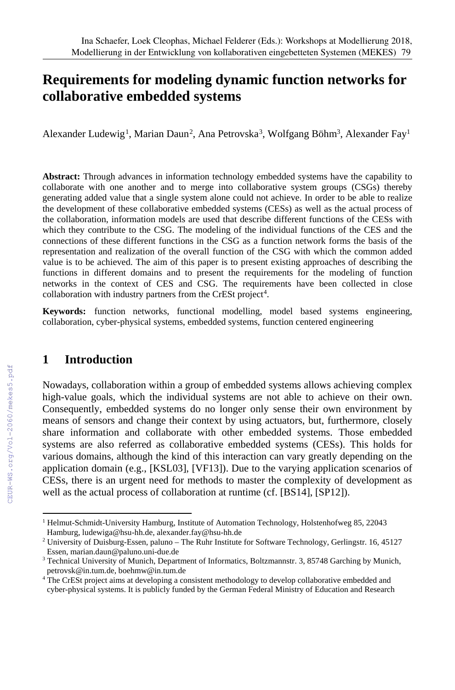# **Requirements for modeling dynamic function networks for collaborative embedded systems**

Alexander Ludewig<sup>1</sup>, Marian Daun<sup>2</sup>, Ana Petrovska<sup>3</sup>, Wolfgang Böhm<sup>3</sup>, Alexander Fay<sup>1</sup>

**Abstract:** Through advances in information technology embedded systems have the capability to collaborate with one another and to merge into collaborative system groups (CSGs) thereby generating added value that a single system alone could not achieve. In order to be able to realize the development of these collaborative embedded systems (CESs) as well as the actual process of the collaboration, information models are used that describe different functions of the CESs with which they contribute to the CSG. The modeling of the individual functions of the CES and the connections of these different functions in the CSG as a function network forms the basis of the representation and realization of the overall function of the CSG with which the common added value is to be achieved. The aim of this paper is to present existing approaches of describing the functions in different domains and to present the requirements for the modeling of function networks in the context of CES and CSG. The requirements have been collected in close collaboration with industry partners from the CrESt project<sup>4</sup>.

**Keywords:** function networks, functional modelling, model based systems engineering, collaboration, cyber-physical systems, embedded systems, function centered engineering

### **1 Introduction**

Nowadays, collaboration within a group of embedded systems allows achieving complex high-value goals, which the individual systems are not able to achieve on their own. Consequently, embedded systems do no longer only sense their own environment by means of sensors and change their context by using actuators, but, furthermore, closely share information and collaborate with other embedded systems. Those embedded systems are also referred as collaborative embedded systems (CESs). This holds for various domains, although the kind of this interaction can vary greatly depending on the application domain (e.g., [KSL03], [VF13]). Due to the varying application scenarios of CESs, there is an urgent need for methods to master the complexity of development as well as the actual process of collaboration at runtime (cf. [BS14], [SP12]).

 <sup>1</sup> Helmut-Schmidt-University Hamburg, Institute of Automation Technology, Holstenhofweg 85, <sup>22043</sup> Hamburg, ludewiga@hsu-hh.de, alexander.fay@hsu-hh.de

<sup>&</sup>lt;sup>2</sup> University of Duisburg-Essen, paluno – The Ruhr Institute for Software Technology, Gerlingstr. 16, 45127 Essen, marian.daun@paluno.uni-due.de

<sup>&</sup>lt;sup>3</sup> Technical University of Munich, Department of Informatics, Boltzmannstr. 3, 85748 Garching by Munich, petrovsk@in.tum.de, boehmw@in.tum.de

<sup>&</sup>lt;sup>4</sup> The CrESt project aims at developing a consistent methodology to develop collaborative embedded and cyber-physical systems. It is publicly funded by the German Federal Ministry of Education and Research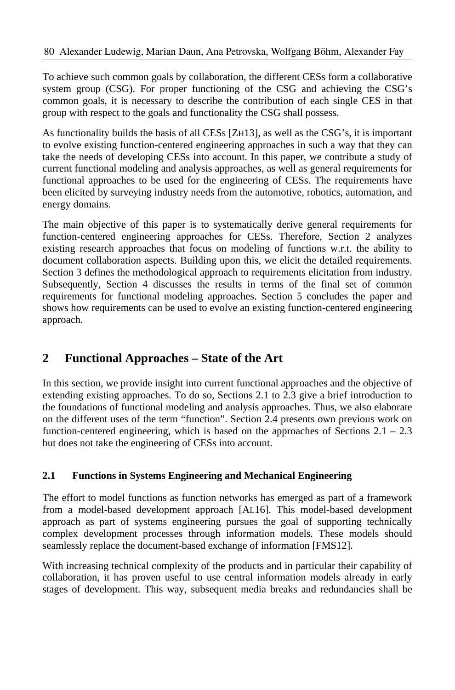To achieve such common goals by collaboration, the different CESs form a collaborative system group (CSG). For proper functioning of the CSG and achieving the CSG's common goals, it is necessary to describe the contribution of each single CES in that group with respect to the goals and functionality the CSG shall possess.

As functionality builds the basis of all CESs [ZH13], as well as the CSG's, it is important to evolve existing function-centered engineering approaches in such a way that they can take the needs of developing CESs into account. In this paper, we contribute a study of current functional modeling and analysis approaches, as well as general requirements for functional approaches to be used for the engineering of CESs. The requirements have been elicited by surveying industry needs from the automotive, robotics, automation, and energy domains.

The main objective of this paper is to systematically derive general requirements for function-centered engineering approaches for CESs. Therefore, Section 2 analyzes existing research approaches that focus on modeling of functions w.r.t. the ability to document collaboration aspects. Building upon this, we elicit the detailed requirements. Section 3 defines the methodological approach to requirements elicitation from industry. Subsequently, Section 4 discusses the results in terms of the final set of common requirements for functional modeling approaches. Section 5 concludes the paper and shows how requirements can be used to evolve an existing function-centered engineering approach.

## **2 Functional Approaches – State of the Art**

In this section, we provide insight into current functional approaches and the objective of extending existing approaches. To do so, Sections 2.1 to 2.3 give a brief introduction to the foundations of functional modeling and analysis approaches. Thus, we also elaborate on the different uses of the term "function". Section 2.4 presents own previous work on function-centered engineering, which is based on the approaches of Sections 2.1 – 2.3 but does not take the engineering of CESs into account.

### **2.1 Functions in Systems Engineering and Mechanical Engineering**

The effort to model functions as function networks has emerged as part of a framework from a model-based development approach [AL16]. This model-based development approach as part of systems engineering pursues the goal of supporting technically complex development processes through information models. These models should seamlessly replace the document-based exchange of information [FMS12].

With increasing technical complexity of the products and in particular their capability of collaboration, it has proven useful to use central information models already in early stages of development. This way, subsequent media breaks and redundancies shall be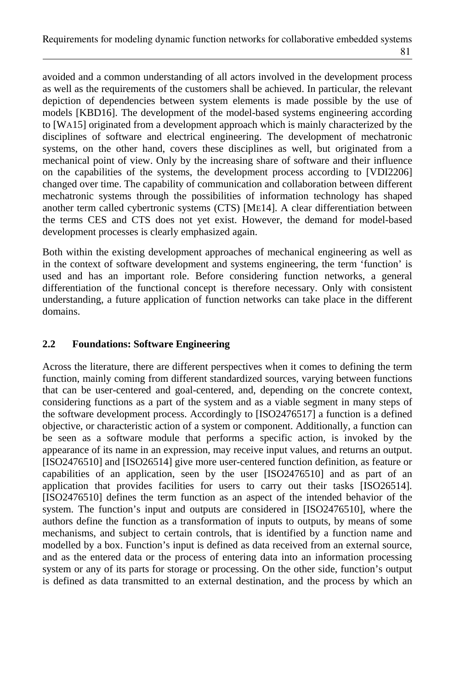avoided and a common understanding of all actors involved in the development process as well as the requirements of the customers shall be achieved. In particular, the relevant depiction of dependencies between system elements is made possible by the use of models [KBD16]. The development of the model-based systems engineering according to [WA15] originated from a development approach which is mainly characterized by the disciplines of software and electrical engineering. The development of mechatronic systems, on the other hand, covers these disciplines as well, but originated from a mechanical point of view. Only by the increasing share of software and their influence on the capabilities of the systems, the development process according to [VDI2206] changed over time. The capability of communication and collaboration between different mechatronic systems through the possibilities of information technology has shaped another term called cybertronic systems (CTS) [ME14]. A clear differentiation between the terms CES and CTS does not yet exist. However, the demand for model-based development processes is clearly emphasized again.

Both within the existing development approaches of mechanical engineering as well as in the context of software development and systems engineering, the term 'function' is used and has an important role. Before considering function networks, a general differentiation of the functional concept is therefore necessary. Only with consistent understanding, a future application of function networks can take place in the different domains.

#### **2.2 Foundations: Software Engineering**

Across the literature, there are different perspectives when it comes to defining the term function, mainly coming from different standardized sources, varying between functions that can be user-centered and goal-centered, and, depending on the concrete context, considering functions as a part of the system and as a viable segment in many steps of the software development process. Accordingly to [ISO2476517] a function is a defined objective, or characteristic action of a system or component. Additionally, a function can be seen as a software module that performs a specific action, is invoked by the appearance of its name in an expression, may receive input values, and returns an output. [ISO2476510] and [ISO26514] give more user-centered function definition, as feature or capabilities of an application, seen by the user [ISO2476510] and as part of an application that provides facilities for users to carry out their tasks [ISO26514]. [ISO2476510] defines the term function as an aspect of the intended behavior of the system. The function's input and outputs are considered in [ISO2476510], where the authors define the function as a transformation of inputs to outputs, by means of some mechanisms, and subject to certain controls, that is identified by a function name and modelled by a box. Function's input is defined as data received from an external source, and as the entered data or the process of entering data into an information processing system or any of its parts for storage or processing. On the other side, function's output is defined as data transmitted to an external destination, and the process by which an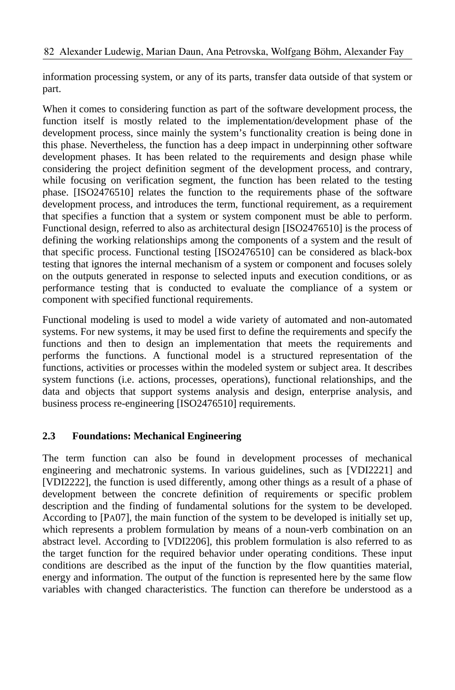information processing system, or any of its parts, transfer data outside of that system or part.

When it comes to considering function as part of the software development process, the function itself is mostly related to the implementation/development phase of the development process, since mainly the system's functionality creation is being done in this phase. Nevertheless, the function has a deep impact in underpinning other software development phases. It has been related to the requirements and design phase while considering the project definition segment of the development process, and contrary, while focusing on verification segment, the function has been related to the testing phase. [ISO2476510] relates the function to the requirements phase of the software development process, and introduces the term, functional requirement, as a requirement that specifies a function that a system or system component must be able to perform. Functional design, referred to also as architectural design [ISO2476510] is the process of defining the working relationships among the components of a system and the result of that specific process. Functional testing [ISO2476510] can be considered as black-box testing that ignores the internal mechanism of a system or component and focuses solely on the outputs generated in response to selected inputs and execution conditions, or as performance testing that is conducted to evaluate the compliance of a system or component with specified functional requirements.

Functional modeling is used to model a wide variety of automated and non-automated systems. For new systems, it may be used first to define the requirements and specify the functions and then to design an implementation that meets the requirements and performs the functions. A functional model is a structured representation of the functions, activities or processes within the modeled system or subject area. It describes system functions (i.e. actions, processes, operations), functional relationships, and the data and objects that support systems analysis and design, enterprise analysis, and business process re-engineering [ISO2476510] requirements.

### **2.3 Foundations: Mechanical Engineering**

The term function can also be found in development processes of mechanical engineering and mechatronic systems. In various guidelines, such as [VDI2221] and [VDI2222], the function is used differently, among other things as a result of a phase of development between the concrete definition of requirements or specific problem description and the finding of fundamental solutions for the system to be developed. According to [PA07], the main function of the system to be developed is initially set up, which represents a problem formulation by means of a noun-verb combination on an abstract level. According to [VDI2206], this problem formulation is also referred to as the target function for the required behavior under operating conditions. These input conditions are described as the input of the function by the flow quantities material, energy and information. The output of the function is represented here by the same flow variables with changed characteristics. The function can therefore be understood as a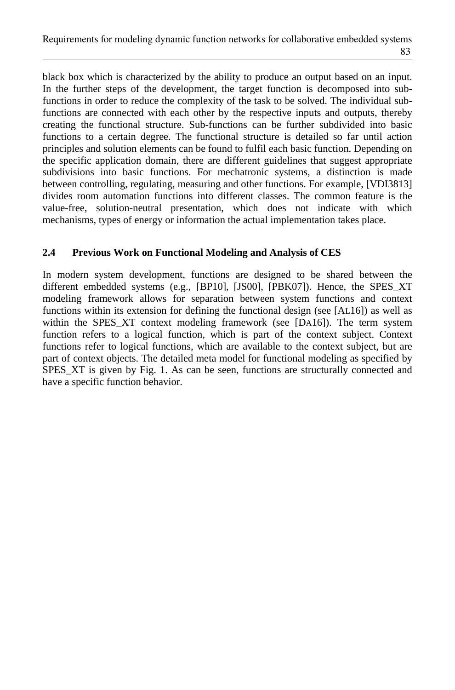black box which is characterized by the ability to produce an output based on an input. In the further steps of the development, the target function is decomposed into subfunctions in order to reduce the complexity of the task to be solved. The individual subfunctions are connected with each other by the respective inputs and outputs, thereby creating the functional structure. Sub-functions can be further subdivided into basic functions to a certain degree. The functional structure is detailed so far until action principles and solution elements can be found to fulfil each basic function. Depending on the specific application domain, there are different guidelines that suggest appropriate subdivisions into basic functions. For mechatronic systems, a distinction is made between controlling, regulating, measuring and other functions. For example, [VDI3813] divides room automation functions into different classes. The common feature is the value-free, solution-neutral presentation, which does not indicate with which mechanisms, types of energy or information the actual implementation takes place.

#### **2.4 Previous Work on Functional Modeling and Analysis of CES**

In modern system development, functions are designed to be shared between the different embedded systems (e.g., [BP10], [JS00], [PBK07]). Hence, the SPES\_XT modeling framework allows for separation between system functions and context functions within its extension for defining the functional design (see [AL16]) as well as within the SPES XT context modeling framework (see [DA16]). The term system function refers to a logical function, which is part of the context subject. Context functions refer to logical functions, which are available to the context subject, but are part of context objects. The detailed meta model for functional modeling as specified by SPES\_XT is given by Fig. 1. As can be seen, functions are structurally connected and have a specific function behavior.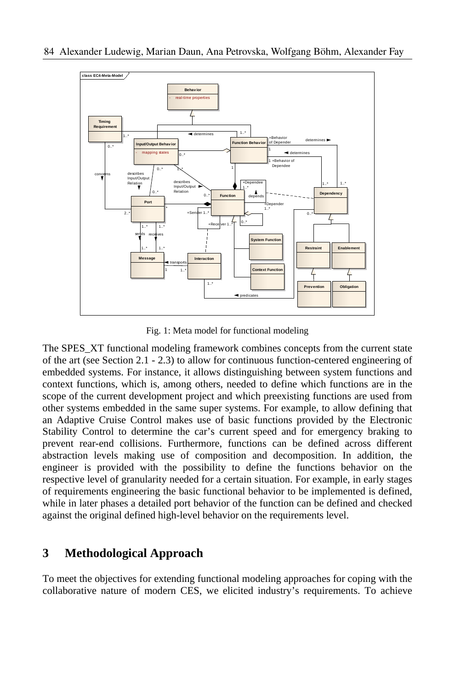

Fig. 1: Meta model for functional modeling

The SPES XT functional modeling framework combines concepts from the current state of the art (see Section 2.1 - 2.3) to allow for continuous function-centered engineering of embedded systems. For instance, it allows distinguishing between system functions and context functions, which is, among others, needed to define which functions are in the scope of the current development project and which preexisting functions are used from other systems embedded in the same super systems. For example, to allow defining that an Adaptive Cruise Control makes use of basic functions provided by the Electronic Stability Control to determine the car's current speed and for emergency braking to prevent rear-end collisions. Furthermore, functions can be defined across different abstraction levels making use of composition and decomposition. In addition, the engineer is provided with the possibility to define the functions behavior on the respective level of granularity needed for a certain situation. For example, in early stages of requirements engineering the basic functional behavior to be implemented is defined, while in later phases a detailed port behavior of the function can be defined and checked against the original defined high-level behavior on the requirements level.

### **3 Methodological Approach**

To meet the objectives for extending functional modeling approaches for coping with the collaborative nature of modern CES, we elicited industry's requirements. To achieve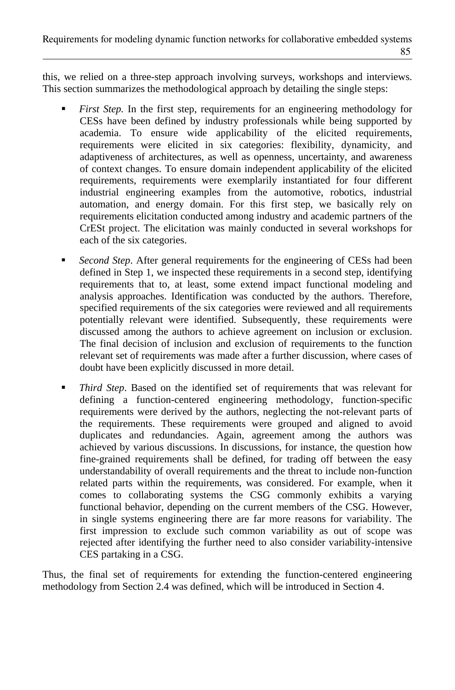this, we relied on a three-step approach involving surveys, workshops and interviews. This section summarizes the methodological approach by detailing the single steps:

- *First Step.* In the first step, requirements for an engineering methodology for CESs have been defined by industry professionals while being supported by academia. To ensure wide applicability of the elicited requirements, requirements were elicited in six categories: flexibility, dynamicity, and adaptiveness of architectures, as well as openness, uncertainty, and awareness of context changes. To ensure domain independent applicability of the elicited requirements, requirements were exemplarily instantiated for four different industrial engineering examples from the automotive, robotics, industrial automation, and energy domain. For this first step, we basically rely on requirements elicitation conducted among industry and academic partners of the CrESt project. The elicitation was mainly conducted in several workshops for each of the six categories.
- *Second Step*. After general requirements for the engineering of CESs had been defined in Step 1, we inspected these requirements in a second step, identifying requirements that to, at least, some extend impact functional modeling and analysis approaches. Identification was conducted by the authors. Therefore, specified requirements of the six categories were reviewed and all requirements potentially relevant were identified. Subsequently, these requirements were discussed among the authors to achieve agreement on inclusion or exclusion. The final decision of inclusion and exclusion of requirements to the function relevant set of requirements was made after a further discussion, where cases of doubt have been explicitly discussed in more detail.
- *Third Step*. Based on the identified set of requirements that was relevant for defining a function-centered engineering methodology, function-specific requirements were derived by the authors, neglecting the not-relevant parts of the requirements. These requirements were grouped and aligned to avoid duplicates and redundancies. Again, agreement among the authors was achieved by various discussions. In discussions, for instance, the question how fine-grained requirements shall be defined, for trading off between the easy understandability of overall requirements and the threat to include non-function related parts within the requirements, was considered. For example, when it comes to collaborating systems the CSG commonly exhibits a varying functional behavior, depending on the current members of the CSG. However, in single systems engineering there are far more reasons for variability. The first impression to exclude such common variability as out of scope was rejected after identifying the further need to also consider variability-intensive CES partaking in a CSG.

Thus, the final set of requirements for extending the function-centered engineering methodology from Section 2.4 was defined, which will be introduced in Section 4.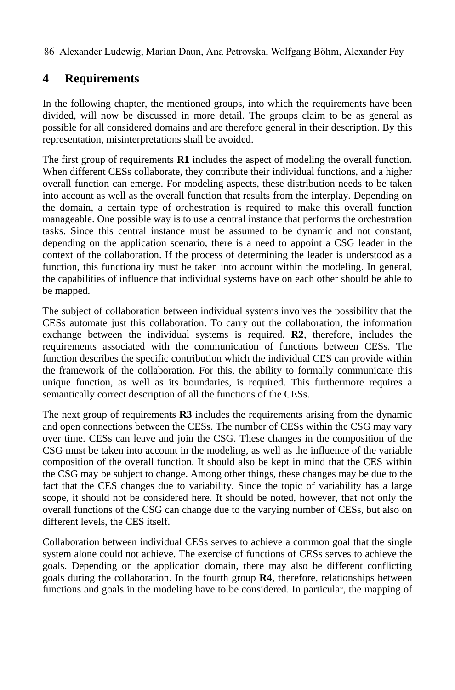## **4 Requirements**

In the following chapter, the mentioned groups, into which the requirements have been divided, will now be discussed in more detail. The groups claim to be as general as possible for all considered domains and are therefore general in their description. By this representation, misinterpretations shall be avoided.

The first group of requirements **R1** includes the aspect of modeling the overall function. When different CESs collaborate, they contribute their individual functions, and a higher overall function can emerge. For modeling aspects, these distribution needs to be taken into account as well as the overall function that results from the interplay. Depending on the domain, a certain type of orchestration is required to make this overall function manageable. One possible way is to use a central instance that performs the orchestration tasks. Since this central instance must be assumed to be dynamic and not constant, depending on the application scenario, there is a need to appoint a CSG leader in the context of the collaboration. If the process of determining the leader is understood as a function, this functionality must be taken into account within the modeling. In general, the capabilities of influence that individual systems have on each other should be able to be mapped.

The subject of collaboration between individual systems involves the possibility that the CESs automate just this collaboration. To carry out the collaboration, the information exchange between the individual systems is required. **R2**, therefore, includes the requirements associated with the communication of functions between CESs. The function describes the specific contribution which the individual CES can provide within the framework of the collaboration. For this, the ability to formally communicate this unique function, as well as its boundaries, is required. This furthermore requires a semantically correct description of all the functions of the CESs.

The next group of requirements **R3** includes the requirements arising from the dynamic and open connections between the CESs. The number of CESs within the CSG may vary over time. CESs can leave and join the CSG. These changes in the composition of the CSG must be taken into account in the modeling, as well as the influence of the variable composition of the overall function. It should also be kept in mind that the CES within the CSG may be subject to change. Among other things, these changes may be due to the fact that the CES changes due to variability. Since the topic of variability has a large scope, it should not be considered here. It should be noted, however, that not only the overall functions of the CSG can change due to the varying number of CESs, but also on different levels, the CES itself.

Collaboration between individual CESs serves to achieve a common goal that the single system alone could not achieve. The exercise of functions of CESs serves to achieve the goals. Depending on the application domain, there may also be different conflicting goals during the collaboration. In the fourth group **R4**, therefore, relationships between functions and goals in the modeling have to be considered. In particular, the mapping of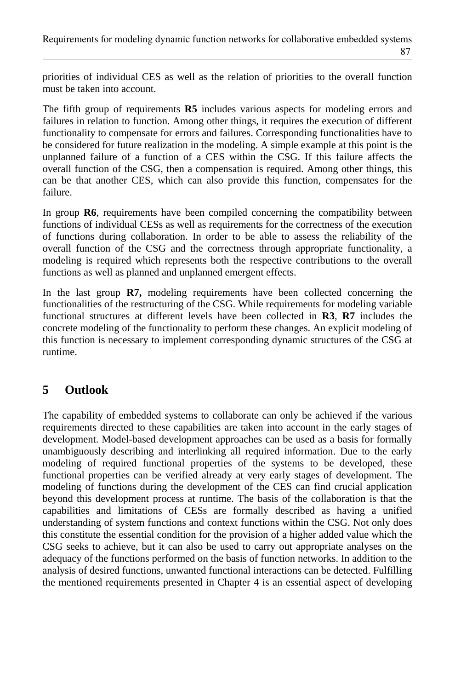priorities of individual CES as well as the relation of priorities to the overall function must be taken into account.

The fifth group of requirements **R5** includes various aspects for modeling errors and failures in relation to function. Among other things, it requires the execution of different functionality to compensate for errors and failures. Corresponding functionalities have to be considered for future realization in the modeling. A simple example at this point is the unplanned failure of a function of a CES within the CSG. If this failure affects the overall function of the CSG, then a compensation is required. Among other things, this can be that another CES, which can also provide this function, compensates for the failure.

In group **R6**, requirements have been compiled concerning the compatibility between functions of individual CESs as well as requirements for the correctness of the execution of functions during collaboration. In order to be able to assess the reliability of the overall function of the CSG and the correctness through appropriate functionality, a modeling is required which represents both the respective contributions to the overall functions as well as planned and unplanned emergent effects.

In the last group **R7,** modeling requirements have been collected concerning the functionalities of the restructuring of the CSG. While requirements for modeling variable functional structures at different levels have been collected in **R3**, **R7** includes the concrete modeling of the functionality to perform these changes. An explicit modeling of this function is necessary to implement corresponding dynamic structures of the CSG at runtime.

## **5 Outlook**

The capability of embedded systems to collaborate can only be achieved if the various requirements directed to these capabilities are taken into account in the early stages of development. Model-based development approaches can be used as a basis for formally unambiguously describing and interlinking all required information. Due to the early modeling of required functional properties of the systems to be developed, these functional properties can be verified already at very early stages of development. The modeling of functions during the development of the CES can find crucial application beyond this development process at runtime. The basis of the collaboration is that the capabilities and limitations of CESs are formally described as having a unified understanding of system functions and context functions within the CSG. Not only does this constitute the essential condition for the provision of a higher added value which the CSG seeks to achieve, but it can also be used to carry out appropriate analyses on the adequacy of the functions performed on the basis of function networks. In addition to the analysis of desired functions, unwanted functional interactions can be detected. Fulfilling the mentioned requirements presented in Chapter 4 is an essential aspect of developing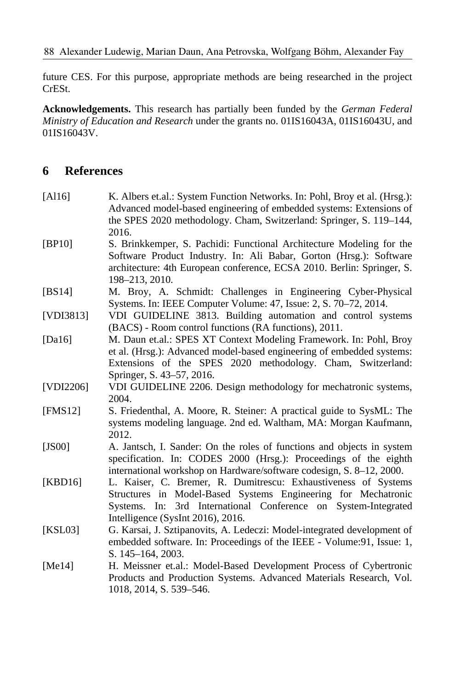future CES. For this purpose, appropriate methods are being researched in the project CrESt.

**Acknowledgements.** This research has partially been funded by the *German Federal Ministry of Education and Research* under the grants no. 01IS16043A, 01IS16043U, and 01IS16043V.

### **6 References**

| [A116]     | K. Albers et.al.: System Function Networks. In: Pohl, Broy et al. (Hrsg.):<br>Advanced model-based engineering of embedded systems: Extensions of<br>the SPES 2020 methodology. Cham, Switzerland: Springer, S. 119-144,                        |
|------------|-------------------------------------------------------------------------------------------------------------------------------------------------------------------------------------------------------------------------------------------------|
| [BP10]     | 2016.<br>S. Brinkkemper, S. Pachidi: Functional Architecture Modeling for the<br>Software Product Industry. In: Ali Babar, Gorton (Hrsg.): Software<br>architecture: 4th European conference, ECSA 2010. Berlin: Springer, S.<br>198-213, 2010. |
| [BS14]     | M. Broy, A. Schmidt: Challenges in Engineering Cyber-Physical<br>Systems. In: IEEE Computer Volume: 47, Issue: 2, S. 70–72, 2014.                                                                                                               |
| [VDI3813]  | VDI GUIDELINE 3813. Building automation and control systems<br>(BACS) - Room control functions (RA functions), 2011.                                                                                                                            |
| [Da16]     | M. Daun et.al.: SPES XT Context Modeling Framework. In: Pohl, Broy<br>et al. (Hrsg.): Advanced model-based engineering of embedded systems:<br>Extensions of the SPES 2020 methodology. Cham, Switzerland:<br>Springer, S. 43–57, 2016.         |
| [VDI2206]  | VDI GUIDELINE 2206. Design methodology for mechatronic systems,<br>2004.                                                                                                                                                                        |
| [FMS12]    | S. Friedenthal, A. Moore, R. Steiner: A practical guide to SysML: The<br>systems modeling language. 2nd ed. Waltham, MA: Morgan Kaufmann,<br>2012.                                                                                              |
| [JS00]     | A. Jantsch, I. Sander: On the roles of functions and objects in system<br>specification. In: CODES 2000 (Hrsg.): Proceedings of the eighth<br>international workshop on Hardware/software codesign, S. 8-12, 2000.                              |
| [KBD16]    | L. Kaiser, C. Bremer, R. Dumitrescu: Exhaustiveness of Systems<br>Structures in Model-Based Systems Engineering for Mechatronic<br>Systems. In: 3rd International Conference on System-Integrated<br>Intelligence (SysInt 2016), 2016.          |
| KSL03      | G. Karsai, J. Sztipanovits, A. Ledeczi: Model-integrated development of<br>embedded software. In: Proceedings of the IEEE - Volume:91, Issue: 1,<br>S. 145-164, 2003.                                                                           |
| [ $Me14$ ] | H. Meissner et.al.: Model-Based Development Process of Cybertronic<br>Products and Production Systems. Advanced Materials Research, Vol.<br>1018, 2014, S. 539-546.                                                                             |